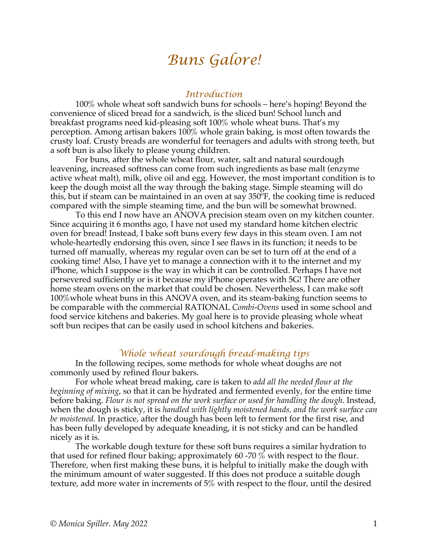# *Buns Galore!*

## *Introduction*

100% whole wheat soft sandwich buns for schools – here's hoping! Beyond the convenience of sliced bread for a sandwich, is the sliced bun! School lunch and breakfast programs need kid-pleasing soft 100% whole wheat buns. That's my perception. Among artisan bakers 100% whole grain baking, is most often towards the crusty loaf. Crusty breads are wonderful for teenagers and adults with strong teeth, but a soft bun is also likely to please young children.

 For buns, after the whole wheat flour, water, salt and natural sourdough leavening, increased softness can come from such ingredients as base malt (enzyme active wheat malt), milk, olive oil and egg. However, the most important condition is to keep the dough moist all the way through the baking stage. Simple steaming will do this, but if steam can be maintained in an oven at say 350ºF, the cooking time is reduced compared with the simple steaming time, and the bun will be somewhat browned.

 To this end I now have an ANOVA precision steam oven on my kitchen counter. Since acquiring it 6 months ago, I have not used my standard home kitchen electric oven for bread! Instead, I bake soft buns every few days in this steam oven. I am not whole-heartedly endorsing this oven, since I see flaws in its function; it needs to be turned off manually, whereas my regular oven can be set to turn off at the end of a cooking time! Also, I have yet to manage a connection with it to the internet and my iPhone, which I suppose is the way in which it can be controlled. Perhaps I have not persevered sufficiently or is it because my iPhone operates with 5G! There are other home steam ovens on the market that could be chosen. Nevertheless, I can make soft 100%whole wheat buns in this ANOVA oven, and its steam-baking function seems to be comparable with the commercial RATIONAL *Combi-Ovens* used in some school and food service kitchens and bakeries. My goal here is to provide pleasing whole wheat soft bun recipes that can be easily used in school kitchens and bakeries.

## *Whole wheat sourdough bread-making tips*

In the following recipes, some methods for whole wheat doughs are not commonly used by refined flour bakers.

For whole wheat bread making, care is taken to *add all the needed flour at the beginning of mixing*, so that it can be hydrated and fermented evenly, for the entire time before baking. *Flour is not spread on the work surface or used for handling the dough*. Instead, when the dough is sticky, it is *handled with lightly moistened hands, and the work surface can be moistened.* In practice, after the dough has been left to ferment for the first rise, and has been fully developed by adequate kneading, it is not sticky and can be handled nicely as it is.

The workable dough texture for these soft buns requires a similar hydration to that used for refined flour baking; approximately 60 -70 % with respect to the flour. Therefore, when first making these buns, it is helpful to initially make the dough with the minimum amount of water suggested. If this does not produce a suitable dough texture, add more water in increments of 5% with respect to the flour, until the desired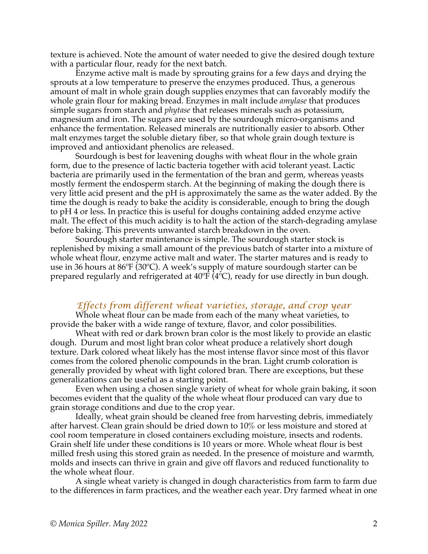texture is achieved. Note the amount of water needed to give the desired dough texture with a particular flour, ready for the next batch.

Enzyme active malt is made by sprouting grains for a few days and drying the sprouts at a low temperature to preserve the enzymes produced. Thus, a generous amount of malt in whole grain dough supplies enzymes that can favorably modify the whole grain flour for making bread. Enzymes in malt include *amylase* that produces simple sugars from starch and *phytase* that releases minerals such as potassium, magnesium and iron. The sugars are used by the sourdough micro-organisms and enhance the fermentation. Released minerals are nutritionally easier to absorb. Other malt enzymes target the soluble dietary fiber, so that whole grain dough texture is improved and antioxidant phenolics are released.

Sourdough is best for leavening doughs with wheat flour in the whole grain form, due to the presence of lactic bacteria together with acid tolerant yeast. Lactic bacteria are primarily used in the fermentation of the bran and germ, whereas yeasts mostly ferment the endosperm starch. At the beginning of making the dough there is very little acid present and the pH is approximately the same as the water added. By the time the dough is ready to bake the acidity is considerable, enough to bring the dough to pH 4 or less. In practice this is useful for doughs containing added enzyme active malt. The effect of this much acidity is to halt the action of the starch-degrading amylase before baking. This prevents unwanted starch breakdown in the oven.

Sourdough starter maintenance is simple. The sourdough starter stock is replenished by mixing a small amount of the previous batch of starter into a mixture of whole wheat flour, enzyme active malt and water. The starter matures and is ready to use in 36 hours at 86ºF (30ºC). A week's supply of mature sourdough starter can be prepared regularly and refrigerated at  $40^{\circ}F(4^{\circ}C)$ , ready for use directly in bun dough.

## *Effects from different wheat varieties, storage, and crop year*

Whole wheat flour can be made from each of the many wheat varieties, to provide the baker with a wide range of texture, flavor, and color possibilities.

Wheat with red or dark brown bran color is the most likely to provide an elastic dough. Durum and most light bran color wheat produce a relatively short dough texture. Dark colored wheat likely has the most intense flavor since most of this flavor comes from the colored phenolic compounds in the bran. Light crumb coloration is generally provided by wheat with light colored bran. There are exceptions, but these generalizations can be useful as a starting point.

Even when using a chosen single variety of wheat for whole grain baking, it soon becomes evident that the quality of the whole wheat flour produced can vary due to grain storage conditions and due to the crop year.

Ideally, wheat grain should be cleaned free from harvesting debris, immediately after harvest. Clean grain should be dried down to 10% or less moisture and stored at cool room temperature in closed containers excluding moisture, insects and rodents. Grain shelf life under these conditions is 10 years or more. Whole wheat flour is best milled fresh using this stored grain as needed. In the presence of moisture and warmth, molds and insects can thrive in grain and give off flavors and reduced functionality to the whole wheat flour.

A single wheat variety is changed in dough characteristics from farm to farm due to the differences in farm practices, and the weather each year. Dry farmed wheat in one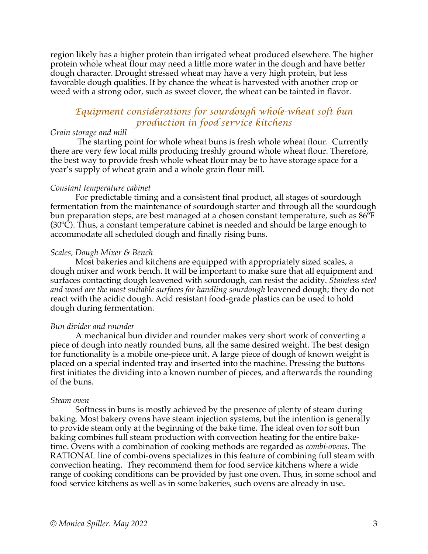region likely has a higher protein than irrigated wheat produced elsewhere. The higher protein whole wheat flour may need a little more water in the dough and have better dough character. Drought stressed wheat may have a very high protein, but less favorable dough qualities. If by chance the wheat is harvested with another crop or weed with a strong odor, such as sweet clover, the wheat can be tainted in flavor.

## *Equipment considerations for sourdough whole-wheat soft bun production in food service kitchens*

## *Grain storage and mill*

The starting point for whole wheat buns is fresh whole wheat flour. Currently there are very few local mills producing freshly ground whole wheat flour. Therefore, the best way to provide fresh whole wheat flour may be to have storage space for a year's supply of wheat grain and a whole grain flour mill.

#### *Constant temperature cabinet*

For predictable timing and a consistent final product, all stages of sourdough fermentation from the maintenance of sourdough starter and through all the sourdough bun preparation steps, are best managed at a chosen constant temperature, such as  $86^{\circ}$ F (30ºC). Thus, a constant temperature cabinet is needed and should be large enough to accommodate all scheduled dough and finally rising buns.

#### *Scales, Dough Mixer & Bench*

Most bakeries and kitchens are equipped with appropriately sized scales, a dough mixer and work bench. It will be important to make sure that all equipment and surfaces contacting dough leavened with sourdough, can resist the acidity. *Stainless steel and wood are the most suitable surfaces for handling sourdough* leavened dough; they do not react with the acidic dough. Acid resistant food-grade plastics can be used to hold dough during fermentation.

#### *Bun divider and rounder*

A mechanical bun divider and rounder makes very short work of converting a piece of dough into neatly rounded buns, all the same desired weight. The best design for functionality is a mobile one-piece unit. A large piece of dough of known weight is placed on a special indented tray and inserted into the machine. Pressing the buttons first initiates the dividing into a known number of pieces, and afterwards the rounding of the buns.

#### *Steam oven*

Softness in buns is mostly achieved by the presence of plenty of steam during baking. Most bakery ovens have steam injection systems, but the intention is generally to provide steam only at the beginning of the bake time. The ideal oven for soft bun baking combines full steam production with convection heating for the entire baketime. Ovens with a combination of cooking methods are regarded as *combi-ovens*. The RATIONAL line of combi-ovens specializes in this feature of combining full steam with convection heating. They recommend them for food service kitchens where a wide range of cooking conditions can be provided by just one oven. Thus, in some school and food service kitchens as well as in some bakeries, such ovens are already in use.